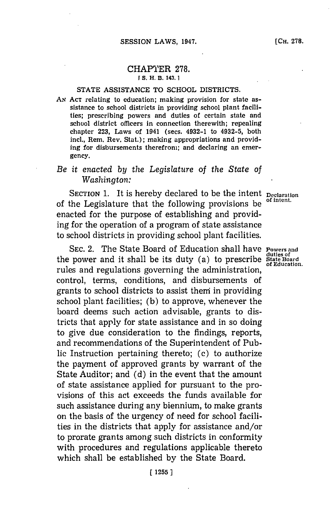#### CHAPTER **278.** r **S. H. B. 143.1I**

### **STATE ASSISTANCE** TO **SCHOOL** DISTRICTS.

*AN* **ACT** relating to education; making provision for state assistance to school districts in providing school plant facilities; prescribing powers and duties of certain state and school district officers in connection therewith; repealing chapter **223,** Laws of 1941 (secs. 4932-1 to 4932-5, both incl., Rem. Rev. Stat.); making appropriations and providing for disbursements therefrom; and declaring an emergency.

# *Be it enacted by the Legislature of the State of Washington:*

SECTION 1. It is hereby declared to be the intent **Declaration** of the Legislature that the following provisions be enacted for the purpose of establishing and providing for the operation of a program of state assistance to school districts in providing school plant facilities.

**SEC.** 2. The State Board of Education shall have **Fowers and** the power and it shall be its duty (a) to prescribe State Board<br>of Education. rules and regulations governing the administration, control, terms, conditions, and disbursements of grants to school districts to assist them in providing school plant facilities; **(b)** to approve, whenever the board deems such action advisable, grants to districts that apply for state assistance and in so doing to give due consideration to the findings, reports, and recommendations of the Superintendent of Public Instruction pertaining thereto; (c) to authorize the payment of approved grants **by** warrant of the State Auditor; and **(d)** in the event that the amount of state assistance applied for pursuant to the provisions of this act exceeds the funds available for such assistance during any biennium, to make grants on the basis of the urgency of need for school facilities in the districts that apply for assistance and/or to prorate grants among such districts in conformity with procedures and regulations applicable thereto which shall be established **by** the State Board.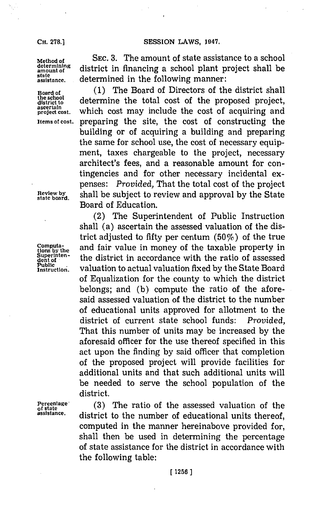## **SESSION LAWS, 1947.**

state<br>assistance.

**the school**

**Method of** SEC. 3. The amount of state assistance to a school<br>determining district in financing a school plant project shall be determining district in financing a school plant project shall be **assistance,** determined in the following manner:

**Board of** (1) The Board of Directors of the district shall the school determine the total cost of the proposed project, assertain problem and the school of the school of the school of the school of the school of the school of the school of the school of the school of the school of projct **ost.** Which cost may include the cost of acquiring and **Items of cost,** preparing the site, the cost of constructing the building or of acquiring a building and preparing the same for school use, the cost of necessary equipment, taxes chargeable to the project, necessary architect's fees, and a reasonable amount for contingencies and for other necessary incidental expenses: *Provided,* That the total cost of the project **Review by** shall be subject to review and approval **by** the State **state board.** Board of Education.

(2) The Superintendent of Public Instruction shall (a) ascertain the assessed valuation of the district adjusted to fifty per centum  $(50\%)$  of the true **Computa-** and fair value in money of the taxable property in tions by the district in accoordance with the ratio of assossed Superinten-<br>dent of assessed<br>Public *interpretential setual problem free about the Chate Based* Public **definition** valuation to actual valuation fixed by the State Board of Equalization for the county to which the district belongs; and **(b)** compute the ratio of the aforesaid assessed valuation of the district to the number of educational units approved for allotment to the district of current state school funds: Provided, That this number of units may be increased **by** the aforesaid officer for the use thereof specified in this act upon the finding **by** said officer that completion of the proposed project will provide facilities for additional units and that such additional units will be needed to serve the school population of the district.

Percentage **(3)** The ratio of the assessed valuation of the state **assistance,** district to the number of educational units thereof, computed in the manner hereinabove provided for, shall then be used in determining the percentage of state assistance for the district in accordance with the following table:

**CH. 278.]**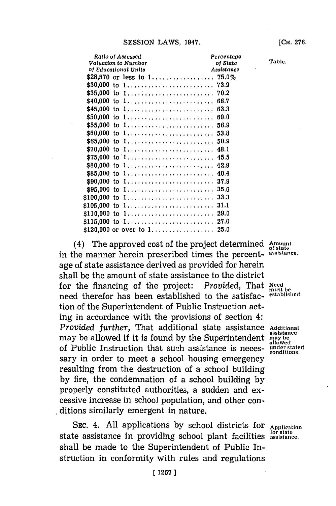| Ratio of Assessed                                               |  |  |  |  |  |  |  |  |  |  |  | Percentage |      |  |
|-----------------------------------------------------------------|--|--|--|--|--|--|--|--|--|--|--|------------|------|--|
| Valuation to Number                                             |  |  |  |  |  |  |  |  |  |  |  | of State   |      |  |
| of Educational Units                                            |  |  |  |  |  |  |  |  |  |  |  | Assistance |      |  |
|                                                                 |  |  |  |  |  |  |  |  |  |  |  |            |      |  |
|                                                                 |  |  |  |  |  |  |  |  |  |  |  |            |      |  |
|                                                                 |  |  |  |  |  |  |  |  |  |  |  |            |      |  |
| \$40,000 to 1                                                   |  |  |  |  |  |  |  |  |  |  |  |            | 66.7 |  |
| \$45,000 to 1                                                   |  |  |  |  |  |  |  |  |  |  |  |            | 63.3 |  |
| \$50,000 to 1                                                   |  |  |  |  |  |  |  |  |  |  |  |            | 60.0 |  |
| \$55,000 to 1                                                   |  |  |  |  |  |  |  |  |  |  |  |            | 56.9 |  |
| \$60,000 to 1                                                   |  |  |  |  |  |  |  |  |  |  |  |            | 53.8 |  |
| \$65,000 to 1                                                   |  |  |  |  |  |  |  |  |  |  |  |            | 50.9 |  |
| \$70,000 to 1                                                   |  |  |  |  |  |  |  |  |  |  |  |            | 48.1 |  |
| \$75,000 to $1, \ldots, \ldots, \ldots, \ldots, \ldots, \ldots$ |  |  |  |  |  |  |  |  |  |  |  |            | 45.5 |  |
| \$80,000 to 1                                                   |  |  |  |  |  |  |  |  |  |  |  |            | 42.9 |  |
| \$85,000 to 1                                                   |  |  |  |  |  |  |  |  |  |  |  |            | 40.4 |  |
| \$90,000 to 1                                                   |  |  |  |  |  |  |  |  |  |  |  |            | 37.9 |  |
| \$95,000 to 1                                                   |  |  |  |  |  |  |  |  |  |  |  |            | 35.6 |  |
| \$100,000 to 1                                                  |  |  |  |  |  |  |  |  |  |  |  |            | 33.3 |  |
| \$105,000 to 1                                                  |  |  |  |  |  |  |  |  |  |  |  |            | 31.1 |  |
| \$110,000 to 1                                                  |  |  |  |  |  |  |  |  |  |  |  |            | 29.0 |  |
| \$115,000 to 1                                                  |  |  |  |  |  |  |  |  |  |  |  |            | 27.0 |  |
|                                                                 |  |  |  |  |  |  |  |  |  |  |  |            | 25.0 |  |
|                                                                 |  |  |  |  |  |  |  |  |  |  |  |            |      |  |

(4) The approved cost of the project determined in the manner herein prescribed times the percentage of state assistance derived as provided for herein shall be the amount of state assistance to the district for the financing of the project: Provided, That need therefor has been established to the satisfaction of the Superintendent of Public Instruction acting in accordance with the provisions of section 4: Provided further, That additional state assistance may be allowed if it is found by the Superintendent of Public Instruction that such assistance is necessary in order to meet a school housing emergency resulting from the destruction of a school building by fire, the condemnation of a school building by properly constituted authorities, a sudden and excessive increase in school population, and other conditions similarly emergent in nature.

SEC. 4. All applications by school districts for Application state assistance in providing school plant facilities shall be made to the Superintendent of Public Instruction in conformity with rules and regulations

Amount of state assistance.

Need must be<br>established.

Additional assistance may be<br>allowed under stated<br>conditions.

for state<br>assistance.

Table.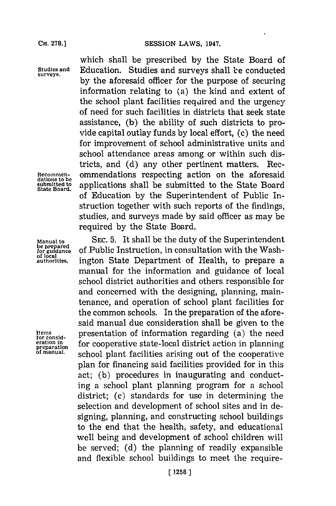which shall be prescribed **by** the State Board of **Studies and** Education. Studies and surveys shall be conducted by the aforesaid officer for the purpose of securing information relating to (a) the kind and extent of the school plant facilities required and the urgency of need for such facilities in districts that seek state assistance, **(b)** the ability of such districts to provide capital outlay funds **by** local effort, (c) the need for improvement of school administrative units and school attendance areas among or within such districts, and **(d)** any other pertinent matters. Rec-Recommen-<br>dations to be<br>submitted to annications, shall be submitted to the State Board submitted to applications shall be submitted to the State Board of Education **by** the Superintendent of Public Instruction together with such reports of the findings, studies, and surveys made **by** said officer as may be required **by** the State Board.

**Manual to SEC. 5.** It shall be the duty of the Superintendent **be prepared** be prepared of Public Instruction, in consultation with the Wash-<br>of guidance of Public Instruction, in consultation with the Wash**of local** authorities. ington State Department of Health, to prepare a manual for the information and guidance of local school district authorities and others responsible for and concerned with the designing, planning, maintenance, and operation of school plant facilities for the common schools. In the preparation of the aforesaid manual due consideration shall be given to the Items for cooperation of information regarding (a) the need<br>eration in preparation<br>preparation for cooperative state-local district action in planning<br>of manual. school plant facilities arising out of the cooperative plan for financing said facilities provided for in this act; **(b)** procedures in inaugurating and conducting a school plant planning program for a school district; (c) standards for use in determining the selection and development of school sites and in designing, planning, and constructing school buildings to the end that the health, safety, and educational well being and development of school children will be served; **(d)** the planning of readily expansible and flexible school buildings to meet the require-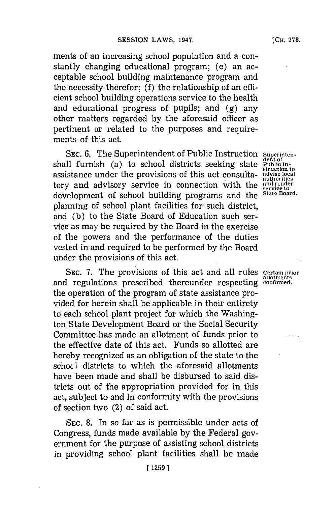ments of an increasing school population and a constantly changing educational program; (e) an acceptable school building maintenance program and the necessity therefor; **(f)** the relationship of an efficient school building operations service to the health and educational progress of pupils; and **(g)** any other matters regarded **by** the aforesaid officer as pertinent or related to the purposes and requirements of this act.

SEC. 6. The Superintendent of Public Instruction Superintenshall furnish (a) to school districts seeking state Public Inassistance under the provisions of this act consulta- **advise local authorities** tory and advisory service in connection with the  $_{\text{service to}}^{and \text{ render}}$ development of school building programs and the **State Board.** planning of school plant facilities for such district, and **(b)** to the State Board of Education such service as may be required **by** the Board in the exercise of the powers and the performance of the duties vested in and required to be performed **by** the Board under the provisions of this act.

**SEC. 7. The provisions of this act and all rules Certain prior** and regulations prescribed thereunder respecting confirmed. the operation of the program of state assistance provided for herein shall be applicable in their entirety to each school plant project for which the Washington State Development Board or the Social Security Committee has made an allotment of funds prior to the effective date of this act. Funds so allotted are hereby recognized as an obligation of the state to the schocl districts to which the aforesaid allotments have been made and shall be disbursed to said districts out of the appropriation provided for in this act, subject to and in conformity with the provisions of section two (2) of said act.

**SEC. 8.** In so far as is permissible under acts of Congress, funds made available **by** the Federal government for the purpose of assisting school districts in providing school plant facilities shall be made